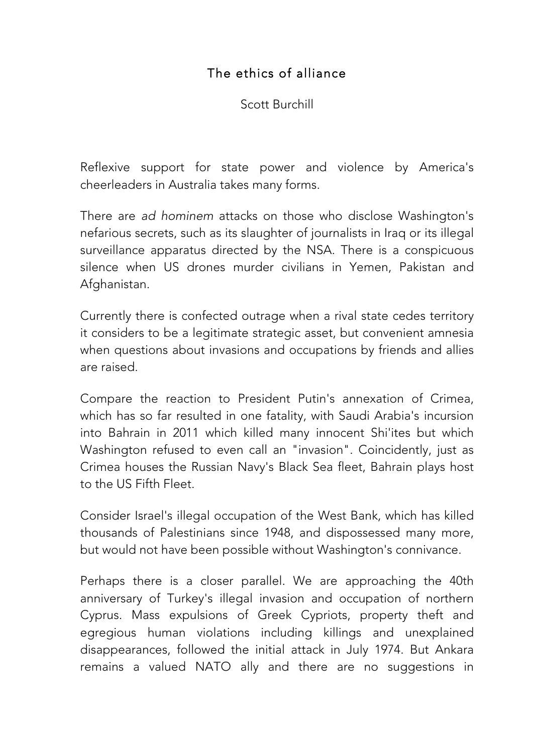## The ethics of alliance

Scott Burchill

Reflexive support for state power and violence by America's cheerleaders in Australia takes many forms.

There are *ad hominem* attacks on those who disclose Washington's nefarious secrets, such as its slaughter of journalists in Iraq or its illegal surveillance apparatus directed by the NSA. There is a conspicuous silence when US drones murder civilians in Yemen, Pakistan and Afghanistan.

Currently there is confected outrage when a rival state cedes territory it considers to be a legitimate strategic asset, but convenient amnesia when questions about invasions and occupations by friends and allies are raised.

Compare the reaction to President Putin's annexation of Crimea, which has so far resulted in one fatality, with Saudi Arabia's incursion into Bahrain in 2011 which killed many innocent Shi'ites but which Washington refused to even call an "invasion". Coincidently, just as Crimea houses the Russian Navy's Black Sea fleet, Bahrain plays host to the US Fifth Fleet.

Consider Israel's illegal occupation of the West Bank, which has killed thousands of Palestinians since 1948, and dispossessed many more, but would not have been possible without Washington's connivance.

Perhaps there is a closer parallel. We are approaching the 40th anniversary of Turkey's illegal invasion and occupation of northern Cyprus. Mass expulsions of Greek Cypriots, property theft and egregious human violations including killings and unexplained disappearances, followed the initial attack in July 1974. But Ankara remains a valued NATO ally and there are no suggestions in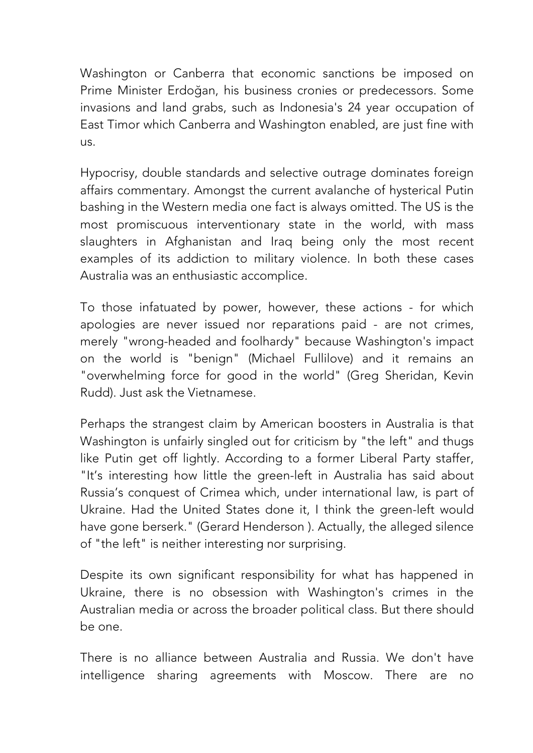Washington or Canberra that economic sanctions be imposed on Prime Minister Erdoğan, his business cronies or predecessors. Some invasions and land grabs, such as Indonesia's 24 year occupation of East Timor which Canberra and Washington enabled, are just fine with us.

Hypocrisy, double standards and selective outrage dominates foreign affairs commentary. Amongst the current avalanche of hysterical Putin bashing in the Western media one fact is always omitted. The US is the most promiscuous interventionary state in the world, with mass slaughters in Afghanistan and Iraq being only the most recent examples of its addiction to military violence. In both these cases Australia was an enthusiastic accomplice.

To those infatuated by power, however, these actions - for which apologies are never issued nor reparations paid - are not crimes, merely "wrong-headed and foolhardy" because Washington's impact on the world is "benign" (Michael Fullilove) and it remains an "overwhelming force for good in the world" (Greg Sheridan, Kevin Rudd). Just ask the Vietnamese.

Perhaps the strangest claim by American boosters in Australia is that Washington is unfairly singled out for criticism by "the left" and thugs like Putin get off lightly. According to a former Liberal Party staffer, "It's interesting how little the green-left in Australia has said about Russia's conquest of Crimea which, under international law, is part of Ukraine. Had the United States done it, I think the green-left would have gone berserk." (Gerard Henderson ). Actually, the alleged silence of "the left" is neither interesting nor surprising.

Despite its own significant responsibility for what has happened in Ukraine, there is no obsession with Washington's crimes in the Australian media or across the broader political class. But there should be one.

There is no alliance between Australia and Russia. We don't have intelligence sharing agreements with Moscow. There are no